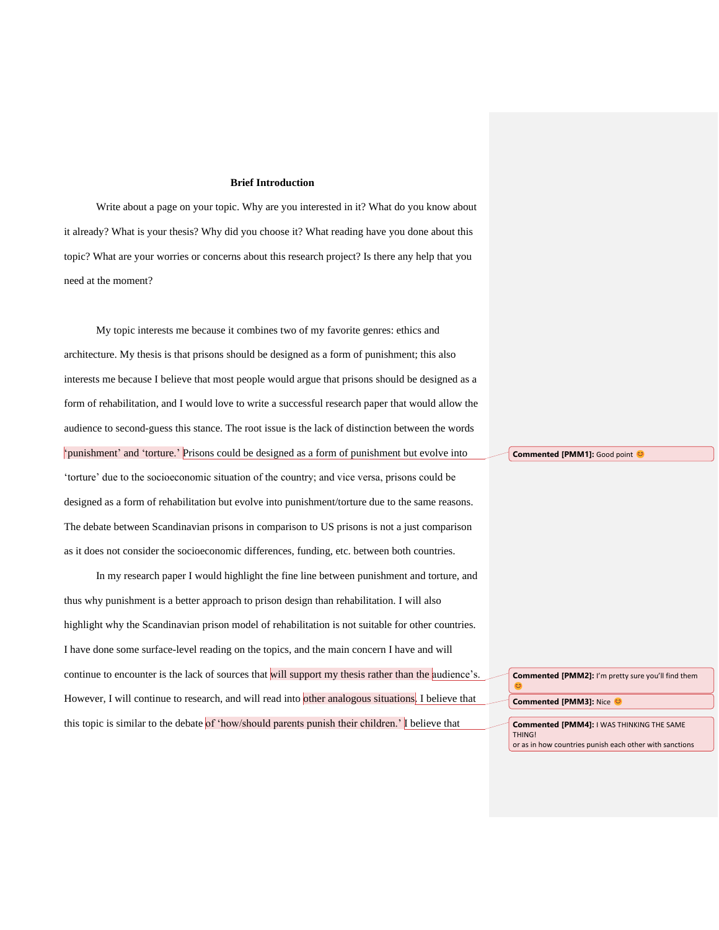## **Brief Introduction**

Write about a page on your topic. Why are you interested in it? What do you know about it already? What is your thesis? Why did you choose it? What reading have you done about this topic? What are your worries or concerns about this research project? Is there any help that you need at the moment?

My topic interests me because it combines two of my favorite genres: ethics and architecture. My thesis is that prisons should be designed as a form of punishment; this also interests me because I believe that most people would argue that prisons should be designed as a form of rehabilitation, and I would love to write a successful research paper that would allow the audience to second-guess this stance. The root issue is the lack of distinction between the words 'punishment' and 'torture.' Prisons could be designed as a form of punishment but evolve into 'torture' due to the socioeconomic situation of the country; and vice versa, prisons could be designed as a form of rehabilitation but evolve into punishment/torture due to the same reasons. The debate between Scandinavian prisons in comparison to US prisons is not a just comparison as it does not consider the socioeconomic differences, funding, etc. between both countries.

In my research paper I would highlight the fine line between punishment and torture, and thus why punishment is a better approach to prison design than rehabilitation. I will also highlight why the Scandinavian prison model of rehabilitation is not suitable for other countries. I have done some surface-level reading on the topics, and the main concern I have and will continue to encounter is the lack of sources that will support my thesis rather than the audience's. However, I will continue to research, and will read into other analogous situations. I believe that this topic is similar to the debate of 'how/should parents punish their children.' I believe that

**Commented [PMM1]: Good point <sup>C</sup>** 

**Commented [PMM2]:** I'm pretty sure you'll find them  $\mathbf{C}$ **Commented [PMM3]: Nice @ Commented [PMM4]:** I WAS THINKING THE SAME

THING! or as in how countries punish each other with sanctions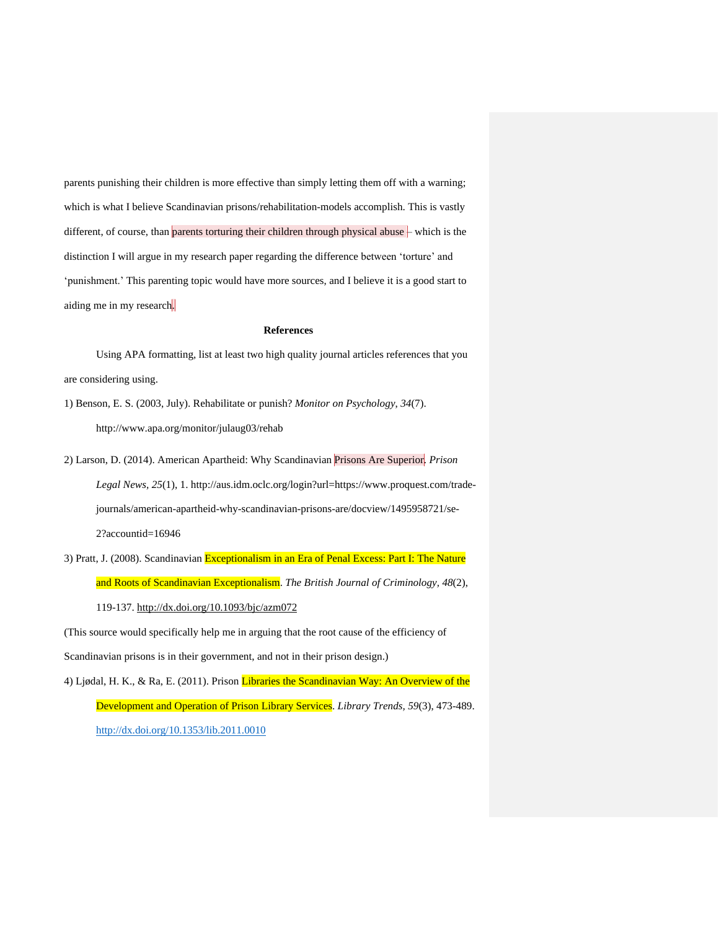parents punishing their children is more effective than simply letting them off with a warning; which is what I believe Scandinavian prisons/rehabilitation-models accomplish. This is vastly different, of course, than parents torturing their children through physical abuse – which is the distinction I will argue in my research paper regarding the difference between 'torture' and 'punishment.' This parenting topic would have more sources, and I believe it is a good start to aiding me in my research.

## **References**

Using APA formatting, list at least two high quality journal articles references that you are considering using.

- 1) Benson, E. S. (2003, July). Rehabilitate or punish? *Monitor on Psychology*, *34*(7). http://www.apa.org/monitor/julaug03/rehab
- 2) Larson, D. (2014). American Apartheid: Why Scandinavian Prisons Are Superior. *Prison Legal News, 25*(1), 1. http://aus.idm.oclc.org/login?url=https://www.proquest.com/tradejournals/american-apartheid-why-scandinavian-prisons-are/docview/1495958721/se-2?accountid=16946
- 3) Pratt, J. (2008). Scandinavian Exceptionalism in an Era of Penal Excess: Part I: The Nature and Roots of Scandinavian Exceptionalism. *The British Journal of Criminology, 48*(2), 119-137.<http://dx.doi.org/10.1093/bjc/azm072>

(This source would specifically help me in arguing that the root cause of the efficiency of Scandinavian prisons is in their government, and not in their prison design.)

4) Ljødal, H. K., & Ra, E. (2011). Prison Libraries the Scandinavian Way: An Overview of the Development and Operation of Prison Library Services. *Library Trends, 59*(3), 473-489. <http://dx.doi.org/10.1353/lib.2011.0010>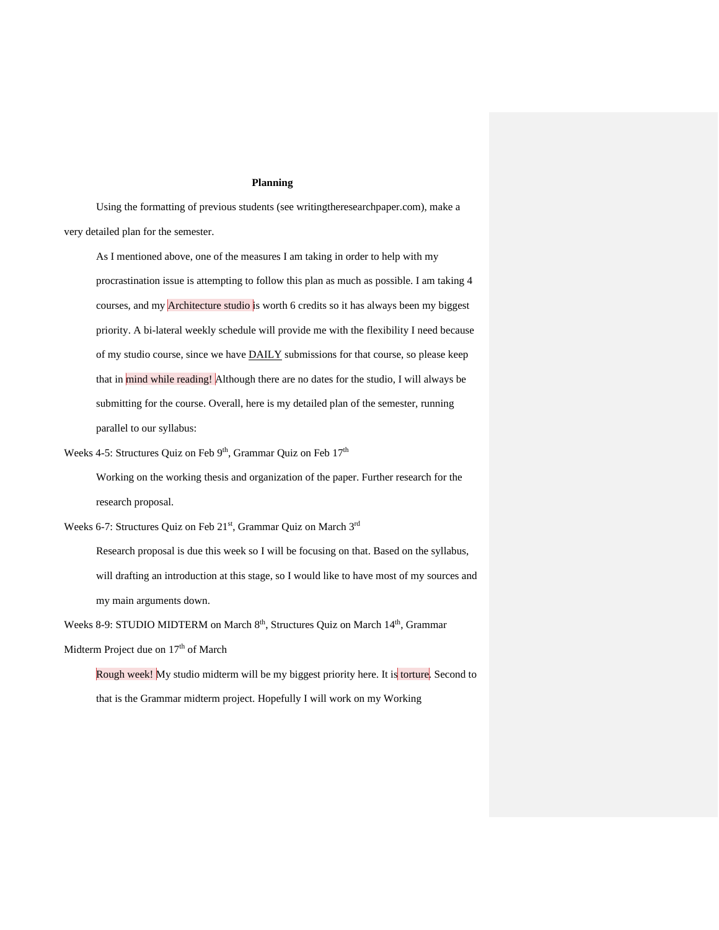## **Planning**

Using the formatting of previous students (see writingtheresearchpaper.com), make a very detailed plan for the semester.

As I mentioned above, one of the measures I am taking in order to help with my procrastination issue is attempting to follow this plan as much as possible. I am taking 4 courses, and my **Architecture studio** is worth 6 credits so it has always been my biggest priority. A bi-lateral weekly schedule will provide me with the flexibility I need because of my studio course, since we have DAILY submissions for that course, so please keep that in mind while reading! Although there are no dates for the studio, I will always be submitting for the course. Overall, here is my detailed plan of the semester, running parallel to our syllabus:

Weeks 4-5: Structures Quiz on Feb  $9<sup>th</sup>$ , Grammar Quiz on Feb  $17<sup>th</sup>$ 

Working on the working thesis and organization of the paper. Further research for the research proposal.

Weeks 6-7: Structures Quiz on Feb 21<sup>st</sup>, Grammar Quiz on March 3<sup>rd</sup>

Research proposal is due this week so I will be focusing on that. Based on the syllabus, will drafting an introduction at this stage, so I would like to have most of my sources and my main arguments down.

Weeks 8-9: STUDIO MIDTERM on March 8<sup>th</sup>, Structures Quiz on March 14<sup>th</sup>, Grammar

Midterm Project due on 17<sup>th</sup> of March

Rough week! My studio midterm will be my biggest priority here. It is torture. Second to that is the Grammar midterm project. Hopefully I will work on my Working